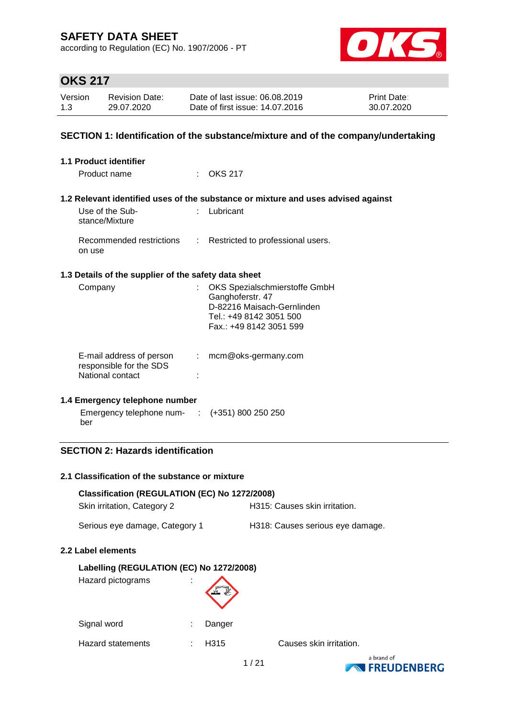according to Regulation (EC) No. 1907/2006 - PT



# **OKS 217**

| Version | <b>Revision Date:</b> | Date of last issue: 06.08.2019  | <b>Print Date:</b> |
|---------|-----------------------|---------------------------------|--------------------|
| 1.3     | 29.07.2020            | Date of first issue: 14.07.2016 | 30.07.2020         |

### **SECTION 1: Identification of the substance/mixture and of the company/undertaking**

| <b>1.1 Product identifier</b>                                           |                            |                                                                                                                                       |
|-------------------------------------------------------------------------|----------------------------|---------------------------------------------------------------------------------------------------------------------------------------|
| Product name                                                            |                            | $\therefore$ OKS 217                                                                                                                  |
|                                                                         |                            | 1.2 Relevant identified uses of the substance or mixture and uses advised against                                                     |
| Use of the Sub-<br>stance/Mixture                                       |                            | Lubricant                                                                                                                             |
| Recommended restrictions<br>on use                                      | $\mathcal{L}^{\text{max}}$ | Restricted to professional users.                                                                                                     |
| 1.3 Details of the supplier of the safety data sheet                    |                            |                                                                                                                                       |
| Company                                                                 |                            | OKS Spezialschmierstoffe GmbH<br>Ganghoferstr. 47<br>D-82216 Maisach-Gernlinden<br>Tel.: +49 8142 3051 500<br>Fax.: +49 8142 3051 599 |
| E-mail address of person<br>responsible for the SDS<br>National contact |                            | $:$ mcm@oks-germany.com                                                                                                               |
| 1.4 Emergency telephone number                                          |                            |                                                                                                                                       |
| Emergency telephone num- $\cdot$ : $(+351)$ 800 250 250<br>ber          |                            |                                                                                                                                       |

## **SECTION 2: Hazards identification**

#### **2.1 Classification of the substance or mixture**

| Classification (REGULATION (EC) No 1272/2008) |        |                                  |
|-----------------------------------------------|--------|----------------------------------|
| Skin irritation, Category 2                   |        | H315: Causes skin irritation.    |
| Serious eye damage, Category 1                |        | H318: Causes serious eye damage. |
| 2.2 Label elements                            |        |                                  |
| Labelling (REGULATION (EC) No 1272/2008)      |        |                                  |
| Hazard pictograms                             |        |                                  |
| Signal word                                   | Danger |                                  |

Hazard statements : H315 Causes skin irritation.

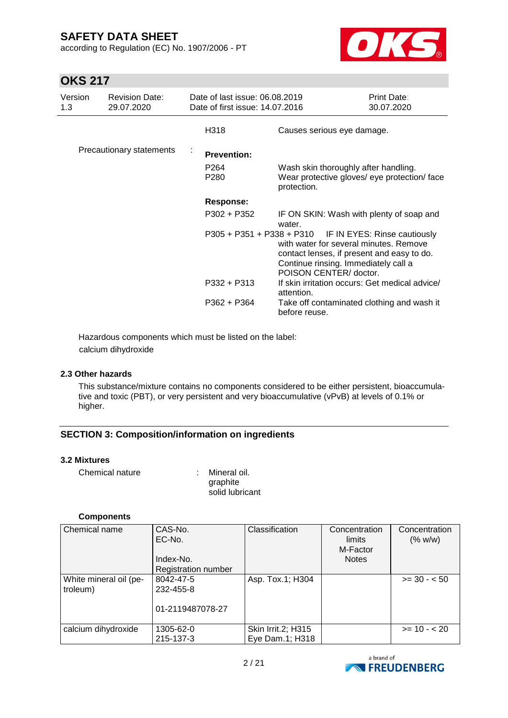according to Regulation (EC) No. 1907/2006 - PT



## **OKS 217**

| Version<br>1.3 | <b>Revision Date:</b><br>29.07.2020 | Date of last issue: 06.08.2019<br>Date of first issue: 14.07.2016 |                                                                                                                                                                                                                  | <b>Print Date:</b><br>30.07.2020 |
|----------------|-------------------------------------|-------------------------------------------------------------------|------------------------------------------------------------------------------------------------------------------------------------------------------------------------------------------------------------------|----------------------------------|
|                |                                     | H318                                                              | Causes serious eye damage.                                                                                                                                                                                       |                                  |
|                | Precautionary statements            | <b>Prevention:</b>                                                |                                                                                                                                                                                                                  |                                  |
|                |                                     | P <sub>264</sub><br>P280                                          | Wash skin thoroughly after handling.<br>Wear protective gloves/ eye protection/ face<br>protection.                                                                                                              |                                  |
|                |                                     | <b>Response:</b>                                                  |                                                                                                                                                                                                                  |                                  |
|                |                                     | P302 + P352                                                       | IF ON SKIN: Wash with plenty of soap and<br>water.                                                                                                                                                               |                                  |
|                |                                     |                                                                   | P305 + P351 + P338 + P310 IF IN EYES: Rinse cautiously<br>with water for several minutes. Remove<br>contact lenses, if present and easy to do.<br>Continue rinsing. Immediately call a<br>POISON CENTER/ doctor. |                                  |
|                |                                     | P332 + P313                                                       | If skin irritation occurs: Get medical advice/<br>attention.                                                                                                                                                     |                                  |
|                |                                     | P362 + P364                                                       | Take off contaminated clothing and wash it<br>before reuse.                                                                                                                                                      |                                  |

Hazardous components which must be listed on the label: calcium dihydroxide

### **2.3 Other hazards**

This substance/mixture contains no components considered to be either persistent, bioaccumulative and toxic (PBT), or very persistent and very bioaccumulative (vPvB) at levels of 0.1% or higher.

## **SECTION 3: Composition/information on ingredients**

#### **3.2 Mixtures**

| Chemical nature | : Mineral oil.  |
|-----------------|-----------------|
|                 | graphite        |
|                 | solid lubricant |

#### **Components**

| Chemical name          | CAS-No.<br>EC-No.<br>Index-No. | Classification     | Concentration<br>limits<br>M-Factor<br><b>Notes</b> | Concentration<br>(% w/w) |
|------------------------|--------------------------------|--------------------|-----------------------------------------------------|--------------------------|
|                        | Registration number            |                    |                                                     |                          |
| White mineral oil (pe- | 8042-47-5                      | Asp. Tox.1; H304   |                                                     | $>= 30 - 50$             |
| troleum)               | 232-455-8                      |                    |                                                     |                          |
|                        | 01-2119487078-27               |                    |                                                     |                          |
| calcium dihydroxide    | 1305-62-0                      | Skin Irrit.2; H315 |                                                     | $>= 10 - 20$             |
|                        | 215-137-3                      | Eye Dam.1; H318    |                                                     |                          |

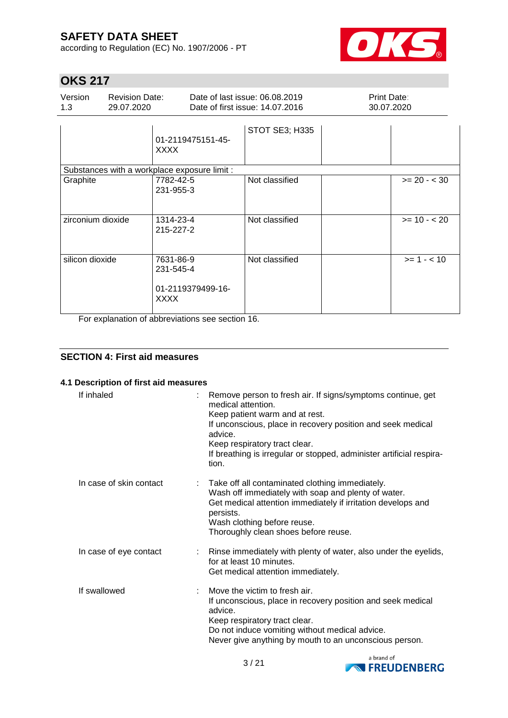according to Regulation (EC) No. 1907/2006 - PT



 $\overline{\phantom{a}}$ 

# **OKS 217**

| Version | <b>Revision Date:</b> | Date of last issue: 06.08.2019  | <b>Print Date:</b> |
|---------|-----------------------|---------------------------------|--------------------|
|         | 29.07.2020            | Date of first issue: 14.07.2016 | 30.07.2020         |
|         |                       | STOT SE3; H335                  |                    |

|                                                                   | 01-2119475151-45-<br><b>XXXX</b>                                                                                  |                |                |
|-------------------------------------------------------------------|-------------------------------------------------------------------------------------------------------------------|----------------|----------------|
| Substances with a workplace exposure limit :                      |                                                                                                                   |                |                |
| Graphite                                                          | 7782-42-5<br>231-955-3                                                                                            | Not classified | $>= 20 - < 30$ |
| zirconium dioxide                                                 | 1314-23-4<br>215-227-2                                                                                            | Not classified | $>= 10 - 20$   |
| silicon dioxide<br>$\mathbf{r}$ and $\mathbf{r}$ and $\mathbf{r}$ | 7631-86-9<br>231-545-4<br>01-2119379499-16-<br><b>XXXX</b><br>$\sim$ $\sim$ $\sim$ $\sim$ $\sim$<br>$\sim$ $\sim$ | Not classified | $>= 1 - 10$    |

For explanation of abbreviations see section 16.

## **SECTION 4: First aid measures**

### **4.1 Description of first aid measures**

| If inhaled              | Remove person to fresh air. If signs/symptoms continue, get<br>medical attention.<br>Keep patient warm and at rest.<br>If unconscious, place in recovery position and seek medical<br>advice.<br>Keep respiratory tract clear.<br>If breathing is irregular or stopped, administer artificial respira-<br>tion. |
|-------------------------|-----------------------------------------------------------------------------------------------------------------------------------------------------------------------------------------------------------------------------------------------------------------------------------------------------------------|
| In case of skin contact | Take off all contaminated clothing immediately.<br>Wash off immediately with soap and plenty of water.<br>Get medical attention immediately if irritation develops and<br>persists.<br>Wash clothing before reuse.<br>Thoroughly clean shoes before reuse.                                                      |
| In case of eye contact  | : Rinse immediately with plenty of water, also under the eyelids,<br>for at least 10 minutes.<br>Get medical attention immediately.                                                                                                                                                                             |
| If swallowed            | Move the victim to fresh air.<br>If unconscious, place in recovery position and seek medical<br>advice.<br>Keep respiratory tract clear.<br>Do not induce vomiting without medical advice.<br>Never give anything by mouth to an unconscious person.                                                            |

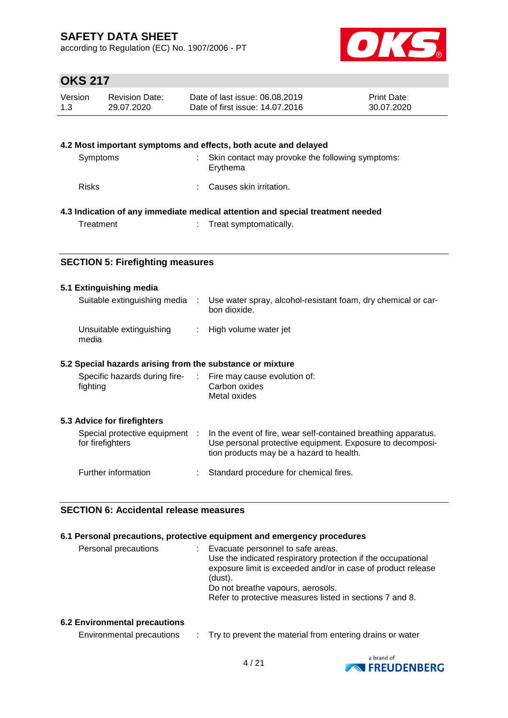according to Regulation (EC) No. 1907/2006 - PT



# **OKS 217**

| Version | <b>Revision Date:</b> | Date of last issue: 06.08.2019  | <b>Print Date:</b> |
|---------|-----------------------|---------------------------------|--------------------|
| 1.3     | 29.07.2020            | Date of first issue: 14.07.2016 | 30.07.2020         |

|              | 4.2 Most important symptoms and effects, both acute and delayed                |
|--------------|--------------------------------------------------------------------------------|
| Symptoms     | Skin contact may provoke the following symptoms:<br>Erythema                   |
| <b>Risks</b> | Causes skin irritation.                                                        |
|              | 4.3 Indication of any immediate medical attention and special treatment needed |
| Treatment    | : Treat symptomatically.                                                       |

## **SECTION 5: Firefighting measures**

### **5.1 Extinguishing media**

| Suitable extinguishing media      | Use water spray, alcohol-resistant foam, dry chemical or car-<br>bon dioxide. |
|-----------------------------------|-------------------------------------------------------------------------------|
| Unsuitable extinguishing<br>media | : High volume water jet                                                       |

#### **5.2 Special hazards arising from the substance or mixture**

| Specific hazards during fire-<br>fighting          | ÷. | Fire may cause evolution of:<br>Carbon oxides<br>Metal oxides                                                                                                           |
|----------------------------------------------------|----|-------------------------------------------------------------------------------------------------------------------------------------------------------------------------|
| 5.3 Advice for firefighters                        |    |                                                                                                                                                                         |
| Special protective equipment :<br>for firefighters |    | In the event of fire, wear self-contained breathing apparatus.<br>Use personal protective equipment. Exposure to decomposi-<br>tion products may be a hazard to health. |
| Further information                                |    | Standard procedure for chemical fires.                                                                                                                                  |

#### **SECTION 6: Accidental release measures**

#### **6.1 Personal precautions, protective equipment and emergency procedures**

| Personal precautions | Evacuate personnel to safe areas.                            |
|----------------------|--------------------------------------------------------------|
|                      | Use the indicated respiratory protection if the occupational |
|                      | exposure limit is exceeded and/or in case of product release |
|                      | (dust).                                                      |
|                      | Do not breathe vapours, aerosols.                            |
|                      | Refer to protective measures listed in sections 7 and 8.     |
|                      |                                                              |

### **6.2 Environmental precautions**

| Environmental precautions |  | Try to prevent the material from entering drains or water |
|---------------------------|--|-----------------------------------------------------------|
|---------------------------|--|-----------------------------------------------------------|

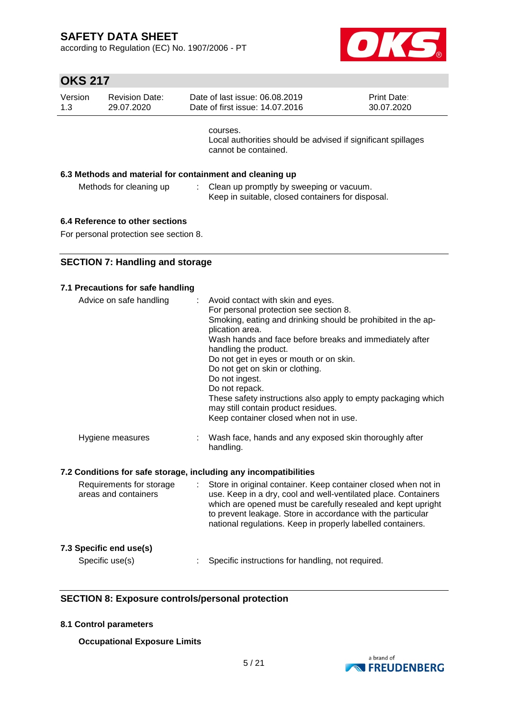according to Regulation (EC) No. 1907/2006 - PT



# **OKS 217**

| Version<br>1.3 | <b>Revision Date:</b><br>29.07.2020 | Date of last issue: 06.08.2019<br>Date of first issue: 14.07.2016                                | <b>Print Date:</b><br>30.07.2020 |
|----------------|-------------------------------------|--------------------------------------------------------------------------------------------------|----------------------------------|
|                |                                     | courses.<br>Local authorities should be advised if significant spillages<br>cannot be contained. |                                  |
|                |                                     | 6.3 Methods and material for containment and cleaning up                                         |                                  |
|                | Methods for cleaning up             | Clean up promptly by sweeping or vacuum.<br>Keep in suitable, closed containers for disposal.    |                                  |
|                |                                     |                                                                                                  |                                  |

## **6.4 Reference to other sections**

For personal protection see section 8.

## **SECTION 7: Handling and storage**

| 7.1 Precautions for safe handling                                |                                                                                                                                                                                                                                                                                                                                                                                                                                                                                                                        |
|------------------------------------------------------------------|------------------------------------------------------------------------------------------------------------------------------------------------------------------------------------------------------------------------------------------------------------------------------------------------------------------------------------------------------------------------------------------------------------------------------------------------------------------------------------------------------------------------|
| Advice on safe handling                                          | Avoid contact with skin and eyes.<br>For personal protection see section 8.<br>Smoking, eating and drinking should be prohibited in the ap-<br>plication area.<br>Wash hands and face before breaks and immediately after<br>handling the product.<br>Do not get in eyes or mouth or on skin.<br>Do not get on skin or clothing.<br>Do not ingest.<br>Do not repack.<br>These safety instructions also apply to empty packaging which<br>may still contain product residues.<br>Keep container closed when not in use. |
| Hygiene measures                                                 | Wash face, hands and any exposed skin thoroughly after<br>handling.                                                                                                                                                                                                                                                                                                                                                                                                                                                    |
| 7.2 Conditions for safe storage, including any incompatibilities |                                                                                                                                                                                                                                                                                                                                                                                                                                                                                                                        |
| Requirements for storage<br>÷.<br>areas and containers           | Store in original container. Keep container closed when not in<br>use. Keep in a dry, cool and well-ventilated place. Containers<br>which are opened must be carefully resealed and kept upright<br>to prevent leakage. Store in accordance with the particular<br>national regulations. Keep in properly labelled containers.                                                                                                                                                                                         |
| 7.3 Specific end use(s)                                          |                                                                                                                                                                                                                                                                                                                                                                                                                                                                                                                        |
| Specific use(s)                                                  | Specific instructions for handling, not required.                                                                                                                                                                                                                                                                                                                                                                                                                                                                      |

## **SECTION 8: Exposure controls/personal protection**

### **8.1 Control parameters**

**Occupational Exposure Limits**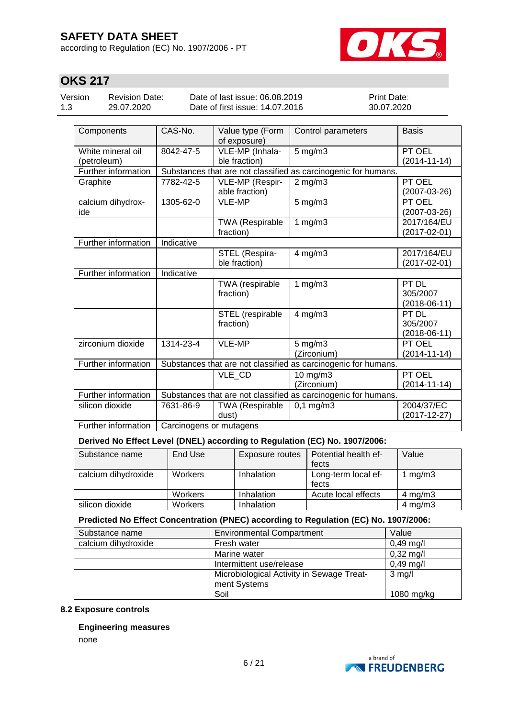according to Regulation (EC) No. 1907/2006 - PT



# **OKS 217**

| Version | <b>Revision Date:</b> | Date of last issue: 06.08.2019  | <b>Print Date:</b> |
|---------|-----------------------|---------------------------------|--------------------|
| 1.3     | 29.07.2020            | Date of first issue: 14.07.2016 | 30.07.2020         |

| Components          | CAS-No.                 | Value type (Form<br>of exposure) | Control parameters                                             | <b>Basis</b>       |  |  |
|---------------------|-------------------------|----------------------------------|----------------------------------------------------------------|--------------------|--|--|
| White mineral oil   | 8042-47-5               | VLE-MP (Inhala-                  | $5 \text{ mg/m}$                                               | PT OEL             |  |  |
| (petroleum)         | ble fraction)           |                                  |                                                                | $(2014 - 11 - 14)$ |  |  |
| Further information |                         |                                  | Substances that are not classified as carcinogenic for humans. |                    |  |  |
| Graphite            | 7782-42-5               | VLE-MP (Respir-                  | $2$ mg/m $3$                                                   | PT OEL             |  |  |
|                     |                         | able fraction)                   |                                                                | $(2007-03-26)$     |  |  |
| calcium dihydrox-   | 1305-62-0               | <b>VLE-MP</b>                    | $5$ mg/m $3$                                                   | PT OEL             |  |  |
| ide                 |                         |                                  |                                                                | $(2007 - 03 - 26)$ |  |  |
|                     |                         | <b>TWA (Respirable</b>           | 1 $mg/m3$                                                      | 2017/164/EU        |  |  |
|                     |                         | fraction)                        |                                                                | $(2017 - 02 - 01)$ |  |  |
| Further information | Indicative              |                                  |                                                                |                    |  |  |
|                     |                         | STEL (Respira-                   | $4$ mg/m $3$                                                   | 2017/164/EU        |  |  |
|                     |                         | ble fraction)                    |                                                                | $(2017 - 02 - 01)$ |  |  |
| Further information | Indicative              |                                  |                                                                |                    |  |  |
|                     |                         | TWA (respirable                  | 1 $mg/m3$                                                      | PT DL              |  |  |
|                     |                         | fraction)                        |                                                                | 305/2007           |  |  |
|                     |                         |                                  |                                                                | $(2018-06-11)$     |  |  |
|                     |                         | STEL (respirable                 | $4$ mg/m $3$                                                   | PT DL              |  |  |
|                     |                         | fraction)                        |                                                                | 305/2007           |  |  |
|                     |                         |                                  |                                                                | $(2018-06-11)$     |  |  |
| zirconium dioxide   | 1314-23-4               | VLE-MP                           | $5$ mg/m $3$                                                   | PT OEL             |  |  |
|                     |                         |                                  | (Zirconium)                                                    | $(2014 - 11 - 14)$ |  |  |
| Further information |                         |                                  | Substances that are not classified as carcinogenic for humans. |                    |  |  |
|                     |                         | VLE CD                           | 10 mg/m3                                                       | PT OEL             |  |  |
|                     |                         |                                  | (Zirconium)                                                    | $(2014 - 11 - 14)$ |  |  |
| Further information |                         |                                  | Substances that are not classified as carcinogenic for humans. |                    |  |  |
| silicon dioxide     | 7631-86-9               | TWA (Respirable                  | $0,1$ mg/m $3$                                                 | 2004/37/EC         |  |  |
|                     |                         | dust)                            |                                                                | $(2017 - 12 - 27)$ |  |  |
| Further information | Carcinogens or mutagens |                                  |                                                                |                    |  |  |

### **Derived No Effect Level (DNEL) according to Regulation (EC) No. 1907/2006:**

| Substance name      | End Use        | Exposure routes | l Potential health ef-       | Value        |
|---------------------|----------------|-----------------|------------------------------|--------------|
|                     |                |                 | fects                        |              |
| calcium dihydroxide | <b>Workers</b> | Inhalation      | Long-term local ef-<br>fects | mg/m3        |
|                     | <b>Workers</b> | Inhalation      | Acute local effects          | 4 mg/m $3$   |
| silicon dioxide     | <b>Workers</b> | Inhalation      |                              | $4$ mg/m $3$ |

### **Predicted No Effect Concentration (PNEC) according to Regulation (EC) No. 1907/2006:**

| Substance name      | <b>Environmental Compartment</b>                          | Value               |
|---------------------|-----------------------------------------------------------|---------------------|
| calcium dihydroxide | Fresh water                                               | $0,49$ mg/l         |
|                     | Marine water                                              | $0,32 \text{ mg/l}$ |
|                     | Intermittent use/release                                  | $0,49$ mg/l         |
|                     | Microbiological Activity in Sewage Treat-<br>ment Systems | $3$ mg/l            |
|                     | Soil                                                      | 1080 mg/kg          |

#### **8.2 Exposure controls**

#### **Engineering measures**

none

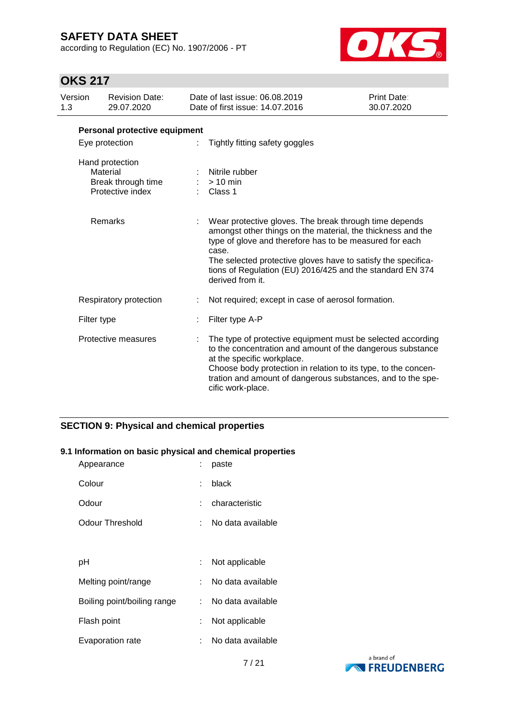according to Regulation (EC) No. 1907/2006 - PT



# **OKS 217**

| Version<br>1.3 |             | <b>Revision Date:</b><br>29.07.2020                                   | Date of last issue: 06.08.2019<br>Date of first issue: 14.07.2016                                                                                                                                                                                                                                                                           | Print Date:<br>30.07.2020 |
|----------------|-------------|-----------------------------------------------------------------------|---------------------------------------------------------------------------------------------------------------------------------------------------------------------------------------------------------------------------------------------------------------------------------------------------------------------------------------------|---------------------------|
|                |             | Personal protective equipment                                         |                                                                                                                                                                                                                                                                                                                                             |                           |
| Eye protection |             | Tightly fitting safety goggles                                        |                                                                                                                                                                                                                                                                                                                                             |                           |
|                |             | Hand protection<br>Material<br>Break through time<br>Protective index | Nitrile rubber<br>$>10$ min<br>Class 1                                                                                                                                                                                                                                                                                                      |                           |
|                |             | Remarks                                                               | Wear protective gloves. The break through time depends<br>amongst other things on the material, the thickness and the<br>type of glove and therefore has to be measured for each<br>case.<br>The selected protective gloves have to satisfy the specifica-<br>tions of Regulation (EU) 2016/425 and the standard EN 374<br>derived from it. |                           |
|                |             | Respiratory protection                                                | Not required; except in case of aerosol formation.                                                                                                                                                                                                                                                                                          |                           |
|                | Filter type |                                                                       | Filter type A-P                                                                                                                                                                                                                                                                                                                             |                           |
|                |             | Protective measures                                                   | The type of protective equipment must be selected according<br>to the concentration and amount of the dangerous substance<br>at the specific workplace.<br>Choose body protection in relation to its type, to the concen-<br>tration and amount of dangerous substances, and to the spe-<br>cific work-place.                               |                           |

## **SECTION 9: Physical and chemical properties**

#### **9.1 Information on basic physical and chemical properties**

| Appearance                  |    | paste             |
|-----------------------------|----|-------------------|
| Colour                      | t. | black             |
| Odour                       |    | characteristic    |
| Odour Threshold             | t. | No data available |
|                             |    |                   |
| рH                          |    | Not applicable    |
| Melting point/range         |    | No data available |
| Boiling point/boiling range |    | No data available |
| Flash point                 |    | Not applicable    |
| Evaporation rate            |    | No data available |

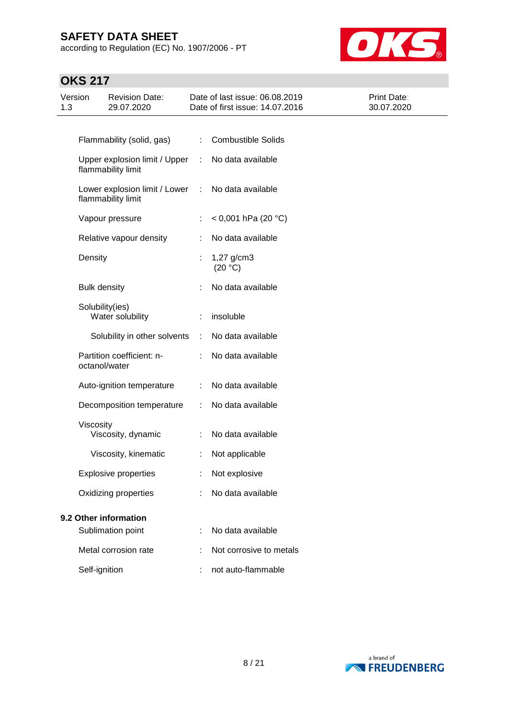according to Regulation (EC) No. 1907/2006 - PT



| Version<br>1.3        | <b>Revision Date:</b><br>29.07.2020                 |    | Date of last issue: 06.08.2019<br>Date of first issue: 14.07.2016 | Print Date:<br>30.07.2020 |
|-----------------------|-----------------------------------------------------|----|-------------------------------------------------------------------|---------------------------|
|                       |                                                     |    |                                                                   |                           |
|                       | Flammability (solid, gas)                           |    | <b>Combustible Solids</b>                                         |                           |
|                       | Upper explosion limit / Upper<br>flammability limit | ÷  | No data available                                                 |                           |
|                       | Lower explosion limit / Lower<br>flammability limit | ÷  | No data available                                                 |                           |
|                       | Vapour pressure                                     | ÷. | < 0,001 hPa (20 °C)                                               |                           |
|                       | Relative vapour density                             |    | No data available                                                 |                           |
|                       | Density                                             |    | $1,27$ g/cm3<br>(20 °C)                                           |                           |
|                       | <b>Bulk density</b>                                 |    | No data available                                                 |                           |
|                       | Solubility(ies)<br>Water solubility                 |    | insoluble                                                         |                           |
|                       | Solubility in other solvents                        | ÷  | No data available                                                 |                           |
|                       | Partition coefficient: n-<br>octanol/water          |    | No data available                                                 |                           |
|                       | Auto-ignition temperature                           |    | No data available                                                 |                           |
|                       | Decomposition temperature                           | ÷  | No data available                                                 |                           |
|                       | Viscosity<br>Viscosity, dynamic                     |    | No data available                                                 |                           |
|                       | Viscosity, kinematic                                | ÷  | Not applicable                                                    |                           |
|                       | <b>Explosive properties</b>                         |    | Not explosive                                                     |                           |
|                       | Oxidizing properties                                |    | No data available                                                 |                           |
| 9.2 Other information |                                                     |    |                                                                   |                           |
|                       | Sublimation point                                   |    | No data available                                                 |                           |
|                       | Metal corrosion rate                                |    | Not corrosive to metals                                           |                           |
|                       | Self-ignition                                       |    | not auto-flammable                                                |                           |

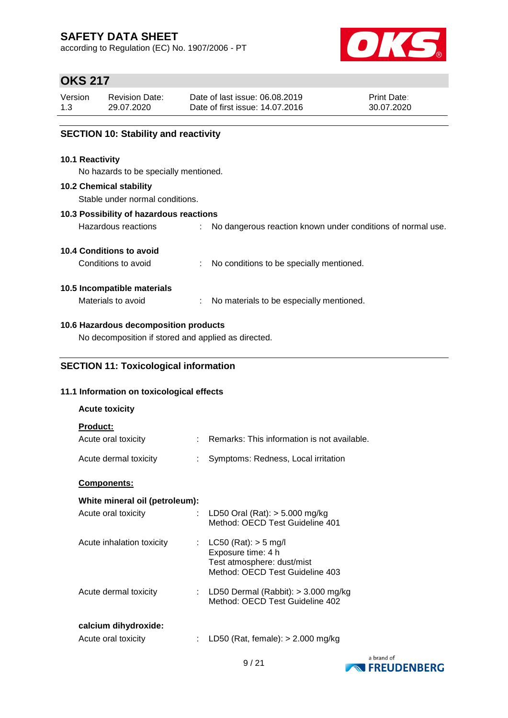according to Regulation (EC) No. 1907/2006 - PT



## **OKS 217**

| Version | <b>Revision Date:</b> | Date of last issue: 06.08.2019  | <b>Print Date:</b> |
|---------|-----------------------|---------------------------------|--------------------|
| 1.3     | 29.07.2020            | Date of first issue: 14.07.2016 | 30.07.2020         |
|         |                       |                                 |                    |

## **SECTION 10: Stability and reactivity**

#### **10.1 Reactivity**

No hazards to be specially mentioned.

#### **10.2 Chemical stability**

Stable under normal conditions.

#### **10.3 Possibility of hazardous reactions**

Hazardous reactions : No dangerous reaction known under conditions of normal use.

### **10.4 Conditions to avoid**

Conditions to avoid : No conditions to be specially mentioned.

### **10.5 Incompatible materials**

Materials to avoid : No materials to be especially mentioned.

### **10.6 Hazardous decomposition products**

No decomposition if stored and applied as directed.

## **SECTION 11: Toxicological information**

### **11.1 Information on toxicological effects**

| <b>Acute toxicity</b>                       |                                                                                                                 |
|---------------------------------------------|-----------------------------------------------------------------------------------------------------------------|
| <b>Product:</b><br>Acute oral toxicity      | Remarks: This information is not available.                                                                     |
| Acute dermal toxicity                       | Symptoms: Redness, Local irritation                                                                             |
| <b>Components:</b>                          |                                                                                                                 |
| White mineral oil (petroleum):              |                                                                                                                 |
| Acute oral toxicity<br>÷.                   | LD50 Oral (Rat): $> 5.000$ mg/kg<br>Method: OECD Test Guideline 401                                             |
| Acute inhalation toxicity                   | : $LC50 (Rat): > 5 mg/l$<br>Exposure time: 4 h<br>Test atmosphere: dust/mist<br>Method: OECD Test Guideline 403 |
| Acute dermal toxicity                       | : LD50 Dermal (Rabbit): $>$ 3.000 mg/kg<br>Method: OECD Test Guideline 402                                      |
| calcium dihydroxide:<br>Acute oral toxicity | LD50 (Rat, female): $> 2.000$ mg/kg                                                                             |

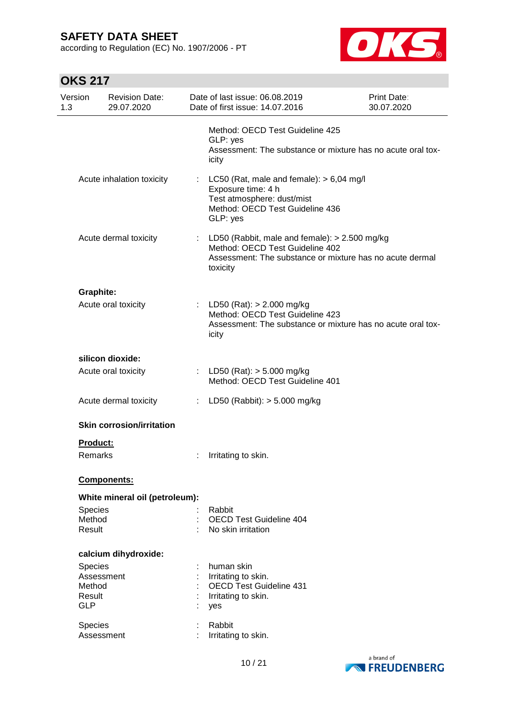according to Regulation (EC) No. 1907/2006 - PT



| Version<br>1.3       | <b>Revision Date:</b><br>29.07.2020 |                              | Date of last issue: 06.08.2019<br>Date of first issue: 14.07.2016                                                                                        | Print Date:<br>30.07.2020 |
|----------------------|-------------------------------------|------------------------------|----------------------------------------------------------------------------------------------------------------------------------------------------------|---------------------------|
|                      |                                     |                              | Method: OECD Test Guideline 425<br>GLP: yes<br>Assessment: The substance or mixture has no acute oral tox-<br>icity                                      |                           |
|                      | Acute inhalation toxicity           |                              | LC50 (Rat, male and female): $> 6,04$ mg/l<br>Exposure time: 4 h<br>Test atmosphere: dust/mist<br>Method: OECD Test Guideline 436<br>GLP: yes            |                           |
|                      | Acute dermal toxicity               |                              | LD50 (Rabbit, male and female): > 2.500 mg/kg<br>Method: OECD Test Guideline 402<br>Assessment: The substance or mixture has no acute dermal<br>toxicity |                           |
| <b>Graphite:</b>     |                                     |                              |                                                                                                                                                          |                           |
|                      | Acute oral toxicity                 |                              | : LD50 (Rat): $> 2.000$ mg/kg<br>Method: OECD Test Guideline 423<br>Assessment: The substance or mixture has no acute oral tox-<br>icity                 |                           |
|                      | silicon dioxide:                    |                              |                                                                                                                                                          |                           |
|                      | Acute oral toxicity                 |                              | : LD50 (Rat): $> 5.000$ mg/kg<br>Method: OECD Test Guideline 401                                                                                         |                           |
|                      | Acute dermal toxicity               | $\mathcal{L}_{\mathrm{max}}$ | LD50 (Rabbit): $>$ 5.000 mg/kg                                                                                                                           |                           |
|                      | <b>Skin corrosion/irritation</b>    |                              |                                                                                                                                                          |                           |
| <b>Product:</b>      |                                     |                              |                                                                                                                                                          |                           |
| Remarks              |                                     |                              | Irritating to skin.                                                                                                                                      |                           |
|                      | Components:                         |                              |                                                                                                                                                          |                           |
|                      | White mineral oil (petroleum):      |                              |                                                                                                                                                          |                           |
| Species              |                                     |                              | Rabbit                                                                                                                                                   |                           |
| Method               |                                     |                              | <b>OECD Test Guideline 404</b>                                                                                                                           |                           |
| Result               |                                     |                              | No skin irritation                                                                                                                                       |                           |
|                      | calcium dihydroxide:                |                              |                                                                                                                                                          |                           |
| <b>Species</b>       |                                     |                              | human skin                                                                                                                                               |                           |
|                      | Assessment                          |                              | Irritating to skin.                                                                                                                                      |                           |
| Method               |                                     |                              | <b>OECD Test Guideline 431</b>                                                                                                                           |                           |
| Result<br><b>GLP</b> |                                     |                              | Irritating to skin.<br>yes                                                                                                                               |                           |
| Species              |                                     |                              | Rabbit                                                                                                                                                   |                           |
|                      | Assessment                          |                              | Irritating to skin.                                                                                                                                      |                           |
|                      |                                     |                              |                                                                                                                                                          |                           |

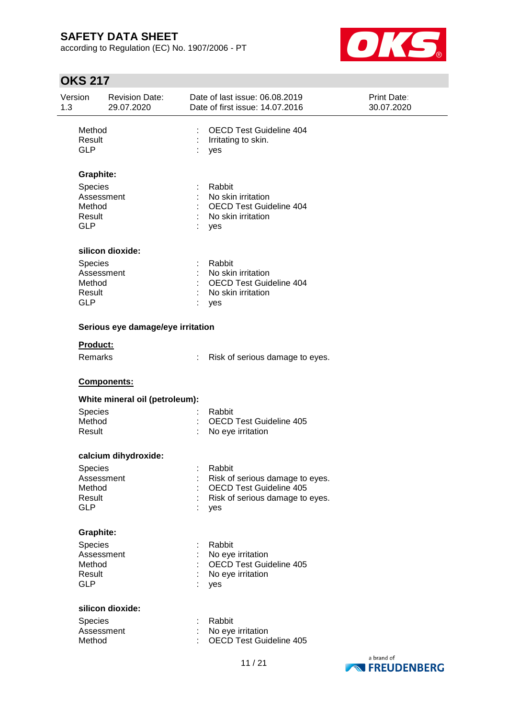according to Regulation (EC) No. 1907/2006 - PT



| Version<br>1.3 |                                                                | <b>Revision Date:</b><br>29.07.2020 |          | Date of last issue: 06.08.2019<br>Date of first issue: 14.07.2016                                              | Print Date:<br>30.07.2020 |
|----------------|----------------------------------------------------------------|-------------------------------------|----------|----------------------------------------------------------------------------------------------------------------|---------------------------|
|                | Method<br>Result<br><b>GLP</b>                                 |                                     | ÷<br>yes | <b>OECD Test Guideline 404</b><br>Irritating to skin.                                                          |                           |
|                | <b>Graphite:</b>                                               |                                     |          |                                                                                                                |                           |
|                | Species<br>Assessment<br>Method<br>Result<br><b>GLP</b>        |                                     | yes      | Rabbit<br>No skin irritation<br>OECD Test Guideline 404<br>No skin irritation                                  |                           |
|                |                                                                | silicon dioxide:                    |          |                                                                                                                |                           |
|                | Species<br>Assessment<br>Method<br>Result<br><b>GLP</b>        |                                     | yes      | Rabbit<br>No skin irritation<br><b>OECD Test Guideline 404</b><br>No skin irritation                           |                           |
|                |                                                                | Serious eye damage/eye irritation   |          |                                                                                                                |                           |
|                | Product:<br>Remarks                                            |                                     |          | Risk of serious damage to eyes.                                                                                |                           |
|                |                                                                | Components:                         |          |                                                                                                                |                           |
|                |                                                                | White mineral oil (petroleum):      |          |                                                                                                                |                           |
|                | Species<br>Method<br>Result                                    |                                     |          | Rabbit<br><b>OECD Test Guideline 405</b><br>No eye irritation                                                  |                           |
|                |                                                                | calcium dihydroxide:                |          |                                                                                                                |                           |
|                | Species<br>Assessment<br>Method<br>Result<br><b>GLP</b>        |                                     | yes      | Rabbit<br>Risk of serious damage to eyes.<br><b>OECD Test Guideline 405</b><br>Risk of serious damage to eyes. |                           |
|                | <b>Graphite:</b>                                               |                                     |          |                                                                                                                |                           |
|                | <b>Species</b><br>Assessment<br>Method<br>Result<br><b>GLP</b> |                                     | yes      | Rabbit<br>No eye irritation<br>OECD Test Guideline 405<br>No eye irritation                                    |                           |
|                |                                                                | silicon dioxide:                    |          |                                                                                                                |                           |
|                | Species<br>Assessment<br>Method                                |                                     |          | Rabbit<br>No eye irritation<br><b>OECD Test Guideline 405</b>                                                  |                           |
|                |                                                                |                                     |          |                                                                                                                | a brand of                |

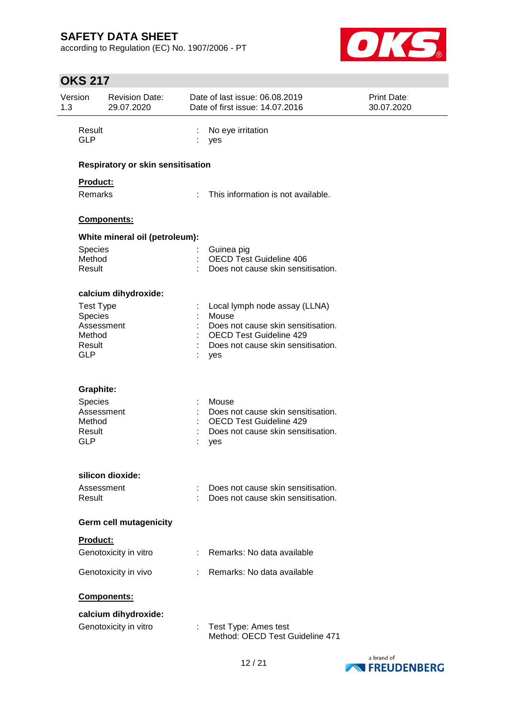according to Regulation (EC) No. 1907/2006 - PT



| 1.3 | Version                                                                     | <b>Revision Date:</b><br>29.07.2020           |                             | Date of last issue: 06.08.2019<br>Date of first issue: 14.07.2016                                                                                           | <b>Print Date:</b><br>30.07.2020 |
|-----|-----------------------------------------------------------------------------|-----------------------------------------------|-----------------------------|-------------------------------------------------------------------------------------------------------------------------------------------------------------|----------------------------------|
|     | Result<br><b>GLP</b>                                                        |                                               |                             | No eye irritation<br>yes                                                                                                                                    |                                  |
|     |                                                                             | Respiratory or skin sensitisation             |                             |                                                                                                                                                             |                                  |
|     | <b>Product:</b>                                                             |                                               |                             |                                                                                                                                                             |                                  |
|     | Remarks                                                                     |                                               | $\mathcal{L}^{\mathcal{L}}$ | This information is not available.                                                                                                                          |                                  |
|     |                                                                             | Components:                                   |                             |                                                                                                                                                             |                                  |
|     |                                                                             | White mineral oil (petroleum):                |                             |                                                                                                                                                             |                                  |
|     | <b>Species</b><br>Method<br>Result                                          |                                               |                             | Guinea pig<br><b>OECD Test Guideline 406</b><br>Does not cause skin sensitisation.                                                                          |                                  |
|     |                                                                             | calcium dihydroxide:                          |                             |                                                                                                                                                             |                                  |
|     | <b>Test Type</b><br>Species<br>Assessment<br>Method<br>Result<br><b>GLP</b> |                                               |                             | Local lymph node assay (LLNA)<br>Mouse<br>Does not cause skin sensitisation.<br><b>OECD Test Guideline 429</b><br>Does not cause skin sensitisation.<br>yes |                                  |
|     | <b>Graphite:</b>                                                            |                                               |                             |                                                                                                                                                             |                                  |
|     | Species<br>Assessment<br>Method<br>Result<br><b>GLP</b>                     |                                               |                             | Mouse<br>Does not cause skin sensitisation.<br><b>OECD Test Guideline 429</b><br>Does not cause skin sensitisation.<br>yes                                  |                                  |
|     |                                                                             | silicon dioxide:                              |                             |                                                                                                                                                             |                                  |
|     | Assessment<br>Result                                                        |                                               |                             | Does not cause skin sensitisation.<br>Does not cause skin sensitisation.                                                                                    |                                  |
|     |                                                                             | Germ cell mutagenicity                        |                             |                                                                                                                                                             |                                  |
|     | Product:                                                                    |                                               |                             |                                                                                                                                                             |                                  |
|     |                                                                             | Genotoxicity in vitro                         | ÷                           | Remarks: No data available                                                                                                                                  |                                  |
|     |                                                                             | Genotoxicity in vivo                          |                             | Remarks: No data available                                                                                                                                  |                                  |
|     |                                                                             | Components:                                   |                             |                                                                                                                                                             |                                  |
|     |                                                                             | calcium dihydroxide:<br>Genotoxicity in vitro | ÷.                          | Test Type: Ames test<br>Method: OECD Test Guideline 471                                                                                                     |                                  |

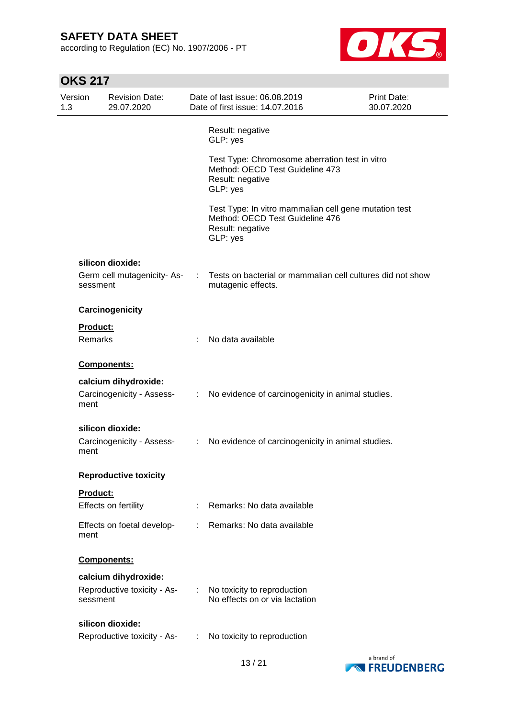according to Regulation (EC) No. 1907/2006 - PT



| Version<br>1.3 |                 | <b>Revision Date:</b><br>29.07.2020 |    | Date of last issue: 06.08.2019<br>Date of first issue: 14.07.2016                                                        | <b>Print Date:</b><br>30.07.2020 |
|----------------|-----------------|-------------------------------------|----|--------------------------------------------------------------------------------------------------------------------------|----------------------------------|
|                |                 |                                     |    | Result: negative<br>GLP: yes                                                                                             |                                  |
|                |                 |                                     |    | Test Type: Chromosome aberration test in vitro<br>Method: OECD Test Guideline 473<br>Result: negative<br>GLP: yes        |                                  |
|                |                 |                                     |    | Test Type: In vitro mammalian cell gene mutation test<br>Method: OECD Test Guideline 476<br>Result: negative<br>GLP: yes |                                  |
|                |                 | silicon dioxide:                    |    |                                                                                                                          |                                  |
|                | sessment        | Germ cell mutagenicity-As-          |    | Tests on bacterial or mammalian cell cultures did not show<br>mutagenic effects.                                         |                                  |
|                |                 | Carcinogenicity                     |    |                                                                                                                          |                                  |
|                | <b>Product:</b> |                                     |    |                                                                                                                          |                                  |
|                | Remarks         |                                     | t  | No data available                                                                                                        |                                  |
|                |                 | Components:                         |    |                                                                                                                          |                                  |
|                |                 | calcium dihydroxide:                |    |                                                                                                                          |                                  |
|                | ment            | Carcinogenicity - Assess-           | ÷. | No evidence of carcinogenicity in animal studies.                                                                        |                                  |
|                |                 | silicon dioxide:                    |    |                                                                                                                          |                                  |
|                | ment            | Carcinogenicity - Assess-           | ÷  | No evidence of carcinogenicity in animal studies.                                                                        |                                  |
|                |                 | <b>Reproductive toxicity</b>        |    |                                                                                                                          |                                  |
|                | <b>Product:</b> |                                     |    |                                                                                                                          |                                  |
|                |                 | Effects on fertility                |    | Remarks: No data available                                                                                               |                                  |
|                | ment            | Effects on foetal develop-          |    | Remarks: No data available                                                                                               |                                  |
|                |                 | <b>Components:</b>                  |    |                                                                                                                          |                                  |
|                |                 | calcium dihydroxide:                |    |                                                                                                                          |                                  |
|                | sessment        | Reproductive toxicity - As-         |    | No toxicity to reproduction<br>No effects on or via lactation                                                            |                                  |
|                |                 | silicon dioxide:                    |    |                                                                                                                          |                                  |
|                |                 | Reproductive toxicity - As-         | ÷  | No toxicity to reproduction                                                                                              |                                  |

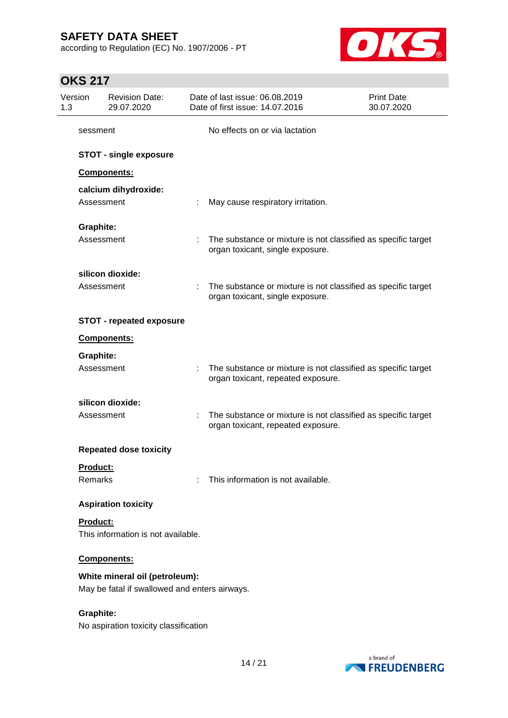according to Regulation (EC) No. 1907/2006 - PT



| Version<br>1.3   | <b>Revision Date:</b><br>29.07.2020                                             |    | Date of last issue: 06.08.2019<br>Date of first issue: 14.07.2016                                   | Print Date:<br>30.07.2020 |
|------------------|---------------------------------------------------------------------------------|----|-----------------------------------------------------------------------------------------------------|---------------------------|
| sessment         |                                                                                 |    | No effects on or via lactation                                                                      |                           |
|                  | <b>STOT - single exposure</b>                                                   |    |                                                                                                     |                           |
|                  | Components:                                                                     |    |                                                                                                     |                           |
|                  | calcium dihydroxide:<br>Assessment                                              |    | May cause respiratory irritation.                                                                   |                           |
| <b>Graphite:</b> |                                                                                 |    |                                                                                                     |                           |
|                  | Assessment                                                                      | ÷. | The substance or mixture is not classified as specific target<br>organ toxicant, single exposure.   |                           |
|                  | silicon dioxide:                                                                |    |                                                                                                     |                           |
|                  | Assessment                                                                      |    | The substance or mixture is not classified as specific target<br>organ toxicant, single exposure.   |                           |
|                  | <b>STOT - repeated exposure</b>                                                 |    |                                                                                                     |                           |
|                  | Components:                                                                     |    |                                                                                                     |                           |
| <b>Graphite:</b> |                                                                                 |    |                                                                                                     |                           |
|                  | Assessment                                                                      |    | The substance or mixture is not classified as specific target<br>organ toxicant, repeated exposure. |                           |
|                  | silicon dioxide:                                                                |    |                                                                                                     |                           |
|                  | Assessment                                                                      | ÷  | The substance or mixture is not classified as specific target<br>organ toxicant, repeated exposure. |                           |
|                  | <b>Repeated dose toxicity</b>                                                   |    |                                                                                                     |                           |
| Product:         |                                                                                 |    |                                                                                                     |                           |
| Remarks          |                                                                                 |    | This information is not available.                                                                  |                           |
|                  | <b>Aspiration toxicity</b>                                                      |    |                                                                                                     |                           |
| Product:         | This information is not available.                                              |    |                                                                                                     |                           |
|                  | Components:                                                                     |    |                                                                                                     |                           |
|                  | White mineral oil (petroleum):<br>May be fatal if swallowed and enters airways. |    |                                                                                                     |                           |
| <b>Graphite:</b> | No aspiration toxicity classification                                           |    |                                                                                                     |                           |

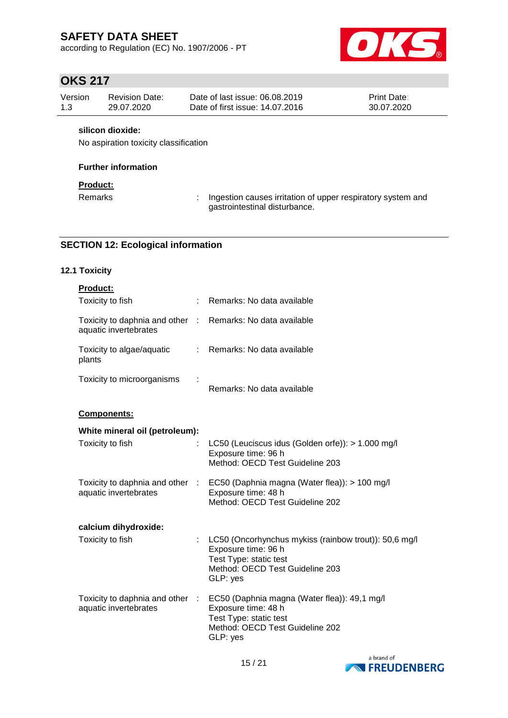according to Regulation (EC) No. 1907/2006 - PT



# **OKS 217**

| Version | <b>Revision Date:</b> | Date of last issue: 06.08.2019  | <b>Print Date:</b> |
|---------|-----------------------|---------------------------------|--------------------|
| 1.3     | 29.07.2020            | Date of first issue: 14.07.2016 | 30.07.2020         |

### **silicon dioxide:**

No aspiration toxicity classification

### **Further information**

### **Product:**

Remarks : Ingestion causes irritation of upper respiratory system and gastrointestinal disturbance.

## **SECTION 12: Ecological information**

## **12.1 Toxicity**

| Product:                                                                            |    |                                                                                                                                                       |
|-------------------------------------------------------------------------------------|----|-------------------------------------------------------------------------------------------------------------------------------------------------------|
| Toxicity to fish                                                                    | ÷  | Remarks: No data available                                                                                                                            |
| Toxicity to daphnia and other : Remarks: No data available<br>aquatic invertebrates |    |                                                                                                                                                       |
| Toxicity to algae/aquatic<br>plants                                                 |    | : Remarks: No data available                                                                                                                          |
| Toxicity to microorganisms                                                          |    | Remarks: No data available                                                                                                                            |
| <b>Components:</b>                                                                  |    |                                                                                                                                                       |
| White mineral oil (petroleum):                                                      |    |                                                                                                                                                       |
| Toxicity to fish                                                                    |    | LC50 (Leuciscus idus (Golden orfe)): > 1.000 mg/l<br>Exposure time: 96 h<br>Method: OECD Test Guideline 203                                           |
| Toxicity to daphnia and other :<br>aquatic invertebrates                            |    | EC50 (Daphnia magna (Water flea)): > 100 mg/l<br>Exposure time: 48 h<br>Method: OECD Test Guideline 202                                               |
| calcium dihydroxide:                                                                |    |                                                                                                                                                       |
| Toxicity to fish                                                                    | ÷. | LC50 (Oncorhynchus mykiss (rainbow trout)): 50,6 mg/l<br>Exposure time: 96 h<br>Test Type: static test<br>Method: OECD Test Guideline 203<br>GLP: yes |
| Toxicity to daphnia and other :<br>aquatic invertebrates                            |    | EC50 (Daphnia magna (Water flea)): 49,1 mg/l<br>Exposure time: 48 h<br>Test Type: static test<br>Method: OECD Test Guideline 202<br>GLP: yes          |

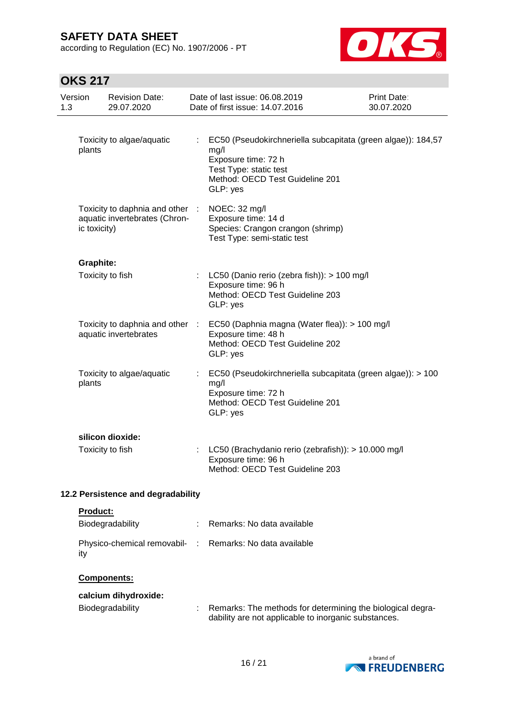according to Regulation (EC) No. 1907/2006 - PT



| Version<br>1.3                     |                  | <b>Revision Date:</b><br>29.07.2020                                                           |            | Date of last issue: 06.08.2019<br>Date of first issue: 14.07.2016                                                                                                                                            | Print Date:<br>30.07.2020 |
|------------------------------------|------------------|-----------------------------------------------------------------------------------------------|------------|--------------------------------------------------------------------------------------------------------------------------------------------------------------------------------------------------------------|---------------------------|
|                                    | plants           | Toxicity to algae/aquatic<br>Toxicity to daphnia and other :<br>aquatic invertebrates (Chron- |            | EC50 (Pseudokirchneriella subcapitata (green algae)): 184,57<br>mg/l<br>Exposure time: 72 h<br>Test Type: static test<br>Method: OECD Test Guideline 201<br>GLP: yes<br>NOEC: 32 mg/l<br>Exposure time: 14 d |                           |
|                                    | ic toxicity)     |                                                                                               |            | Species: Crangon crangon (shrimp)<br>Test Type: semi-static test                                                                                                                                             |                           |
|                                    | <b>Graphite:</b> | Toxicity to fish                                                                              |            | LC50 (Danio rerio (zebra fish)): > 100 mg/l<br>Exposure time: 96 h<br>Method: OECD Test Guideline 203<br>GLP: yes                                                                                            |                           |
|                                    |                  | Toxicity to daphnia and other :<br>aquatic invertebrates                                      |            | EC50 (Daphnia magna (Water flea)): > 100 mg/l<br>Exposure time: 48 h<br>Method: OECD Test Guideline 202<br>GLP: yes                                                                                          |                           |
|                                    | plants           | Toxicity to algae/aquatic                                                                     |            | EC50 (Pseudokirchneriella subcapitata (green algae)): > 100<br>mg/l<br>Exposure time: 72 h<br>Method: OECD Test Guideline 201<br>GLP: yes                                                                    |                           |
|                                    |                  | silicon dioxide:<br>Toxicity to fish                                                          |            | LC50 (Brachydanio rerio (zebrafish)): > 10.000 mg/l<br>Exposure time: 96 h<br>Method: OECD Test Guideline 203                                                                                                |                           |
| 12.2 Persistence and degradability |                  |                                                                                               |            |                                                                                                                                                                                                              |                           |
|                                    | Product:         | Biodegradability                                                                              |            | Remarks: No data available                                                                                                                                                                                   |                           |
|                                    | ity              | Physico-chemical removabil-                                                                   | $\sim 100$ | Remarks: No data available                                                                                                                                                                                   |                           |
|                                    |                  | <b>Components:</b>                                                                            |            |                                                                                                                                                                                                              |                           |
|                                    |                  | calcium dihydroxide:<br>Biodegradability                                                      |            | Remarks: The methods for determining the biological degra-<br>dability are not applicable to inorganic substances.                                                                                           |                           |

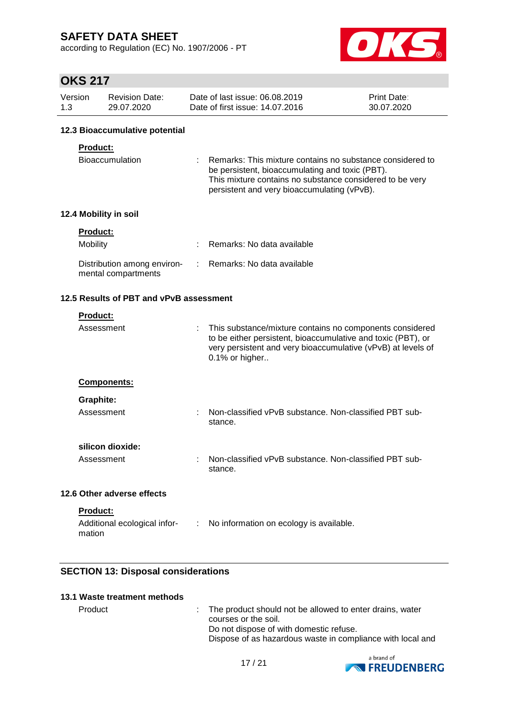according to Regulation (EC) No. 1907/2006 - PT



## **OKS 217**

| Version | Revision Date: | Date of last issue: 06.08.2019  | <b>Print Date:</b> |
|---------|----------------|---------------------------------|--------------------|
| 1.3     | 29.07.2020     | Date of first issue: 14.07.2016 | 30.07.2020         |

### **12.3 Bioaccumulative potential**

### **Product:**

| Bioaccumulation | : Remarks: This mixture contains no substance considered to |
|-----------------|-------------------------------------------------------------|
|                 | be persistent, bioaccumulating and toxic (PBT).             |
|                 | This mixture contains no substance considered to be very    |
|                 | persistent and very bioaccumulating (vPvB).                 |

### **12.4 Mobility in soil**

| <b>Product:</b>                                    |                              |
|----------------------------------------------------|------------------------------|
| <b>Mobility</b>                                    | : Remarks: No data available |
| Distribution among environ-<br>mental compartments | : Remarks: No data available |

## **12.5 Results of PBT and vPvB assessment**

| <b>Product:</b>                                                |                                                                                                                                                                                                            |
|----------------------------------------------------------------|------------------------------------------------------------------------------------------------------------------------------------------------------------------------------------------------------------|
| Assessment                                                     | This substance/mixture contains no components considered<br>to be either persistent, bioaccumulative and toxic (PBT), or<br>very persistent and very bioaccumulative (vPvB) at levels of<br>0.1% or higher |
| <b>Components:</b>                                             |                                                                                                                                                                                                            |
| Graphite:                                                      |                                                                                                                                                                                                            |
| Assessment                                                     | Non-classified vPvB substance. Non-classified PBT sub-<br>stance.                                                                                                                                          |
| silicon dioxide:                                               |                                                                                                                                                                                                            |
| Assessment                                                     | Non-classified vPvB substance. Non-classified PBT sub-<br>stance.                                                                                                                                          |
| 12.6 Other adverse effects                                     |                                                                                                                                                                                                            |
| <b>Product:</b><br>Additional ecological infor-<br>÷<br>mation | No information on ecology is available.                                                                                                                                                                    |

## **SECTION 13: Disposal considerations**

#### **13.1 Waste treatment methods**

Product : The product should not be allowed to enter drains, water courses or the soil. Do not dispose of with domestic refuse. Dispose of as hazardous waste in compliance with local and

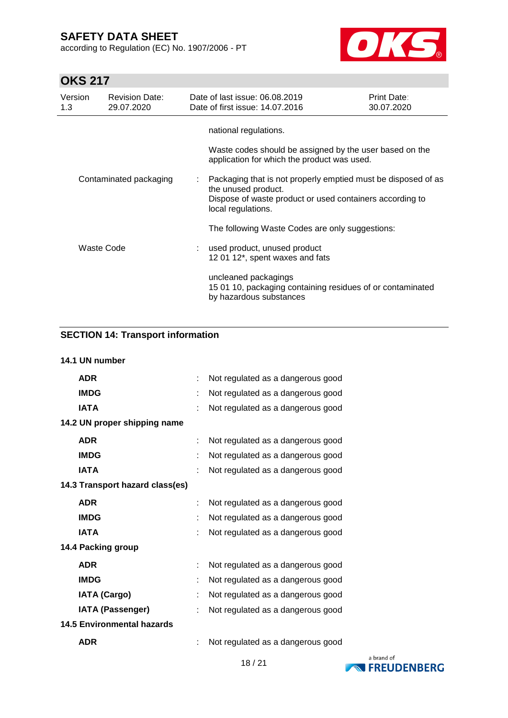according to Regulation (EC) No. 1907/2006 - PT



# **OKS 217**

| Version<br>1.3 | <b>Revision Date:</b><br>29.07.2020 | Date of last issue: 06.08.2019<br>Date of first issue: 14.07.2016                                                                                                      | Print Date:<br>30.07.2020 |
|----------------|-------------------------------------|------------------------------------------------------------------------------------------------------------------------------------------------------------------------|---------------------------|
|                |                                     | national regulations.<br>Waste codes should be assigned by the user based on the<br>application for which the product was used.                                        |                           |
|                | Contaminated packaging              | Packaging that is not properly emptied must be disposed of as<br>the unused product.<br>Dispose of waste product or used containers according to<br>local regulations. |                           |
|                |                                     | The following Waste Codes are only suggestions:                                                                                                                        |                           |
|                | Waste Code                          | used product, unused product<br>12 01 12*, spent waxes and fats                                                                                                        |                           |
|                |                                     | uncleaned packagings<br>15 01 10, packaging containing residues of or contaminated<br>by hazardous substances                                                          |                           |

## **SECTION 14: Transport information**

| 14.1 UN number                    |   |                                   |
|-----------------------------------|---|-----------------------------------|
| <b>ADR</b>                        | ÷ | Not regulated as a dangerous good |
| <b>IMDG</b>                       |   | Not regulated as a dangerous good |
| <b>IATA</b>                       |   | Not regulated as a dangerous good |
| 14.2 UN proper shipping name      |   |                                   |
| <b>ADR</b>                        |   | Not regulated as a dangerous good |
| <b>IMDG</b>                       |   | Not regulated as a dangerous good |
| <b>IATA</b>                       |   | Not regulated as a dangerous good |
| 14.3 Transport hazard class(es)   |   |                                   |
| <b>ADR</b>                        |   | Not regulated as a dangerous good |
| <b>IMDG</b>                       |   | Not regulated as a dangerous good |
| <b>IATA</b>                       |   | Not regulated as a dangerous good |
| 14.4 Packing group                |   |                                   |
| <b>ADR</b>                        |   | Not regulated as a dangerous good |
| <b>IMDG</b>                       |   | Not regulated as a dangerous good |
| <b>IATA (Cargo)</b>               |   | Not regulated as a dangerous good |
| <b>IATA (Passenger)</b>           | t | Not regulated as a dangerous good |
| <b>14.5 Environmental hazards</b> |   |                                   |
| <b>ADR</b>                        |   | Not regulated as a dangerous good |
|                                   |   |                                   |

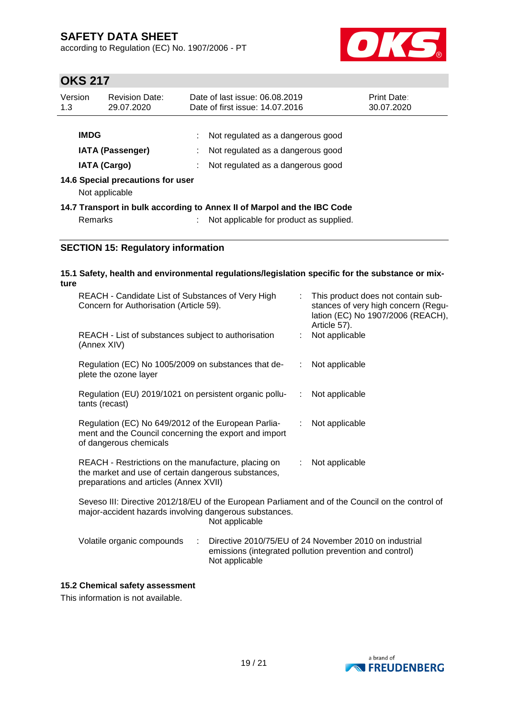according to Regulation (EC) No. 1907/2006 - PT



# **OKS 217**

| Version<br>1.3                                           | <b>Revision Date:</b><br>29.07.2020                 | Date of last issue: 06.08.2019<br>Date of first issue: 14.07.2016       | <b>Print Date:</b><br>30.07.2020 |
|----------------------------------------------------------|-----------------------------------------------------|-------------------------------------------------------------------------|----------------------------------|
| <b>IMDG</b>                                              | <b>IATA (Passenger)</b>                             | Not regulated as a dangerous good<br>Not regulated as a dangerous good  |                                  |
| <b>IATA (Cargo)</b><br>Not regulated as a dangerous good |                                                     |                                                                         |                                  |
|                                                          | 14.6 Special precautions for user<br>Not applicable |                                                                         |                                  |
|                                                          |                                                     | 14.7 Transport in bulk according to Annex II of Marpol and the IBC Code |                                  |
|                                                          | Remarks                                             | Not applicable for product as supplied.                                 |                                  |

## **SECTION 15: Regulatory information**

| ture | 15.1 Safety, health and environmental regulations/legislation specific for the substance or mix-                                                     |    |                                                                                                                                |
|------|------------------------------------------------------------------------------------------------------------------------------------------------------|----|--------------------------------------------------------------------------------------------------------------------------------|
|      | REACH - Candidate List of Substances of Very High<br>Concern for Authorisation (Article 59).                                                         | ÷  | This product does not contain sub-<br>stances of very high concern (Regu-<br>lation (EC) No 1907/2006 (REACH),<br>Article 57). |
|      | REACH - List of substances subject to authorisation<br>(Annex XIV)                                                                                   | ÷  | Not applicable                                                                                                                 |
|      | Regulation (EC) No 1005/2009 on substances that de-<br>plete the ozone layer                                                                         | ÷. | Not applicable                                                                                                                 |
|      | Regulation (EU) 2019/1021 on persistent organic pollu-<br>tants (recast)                                                                             | ÷. | Not applicable                                                                                                                 |
|      | Regulation (EC) No 649/2012 of the European Parlia-<br>ment and the Council concerning the export and import<br>of dangerous chemicals               | ÷  | Not applicable                                                                                                                 |
|      | REACH - Restrictions on the manufacture, placing on<br>the market and use of certain dangerous substances,<br>preparations and articles (Annex XVII) | ÷  | Not applicable                                                                                                                 |
|      | Seveso III: Directive 2012/18/EU of the European Parliament and of the Council on the control of                                                     |    |                                                                                                                                |

Seveso III: Directive 2012/18/EU of the European Parliament and of the Council on the control of major-accident hazards involving dangerous substances. Not applicable

| Volatile organic compounds | Directive 2010/75/EU of 24 November 2010 on industrial  |
|----------------------------|---------------------------------------------------------|
|                            | emissions (integrated pollution prevention and control) |
|                            | Not applicable                                          |

### **15.2 Chemical safety assessment**

This information is not available.

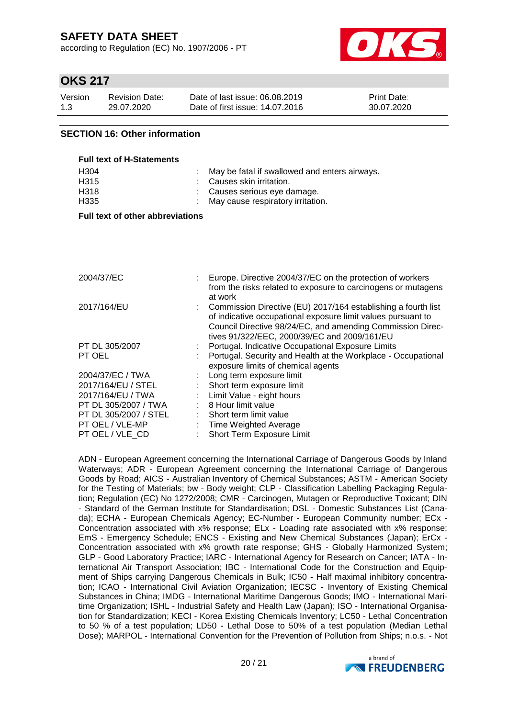according to Regulation (EC) No. 1907/2006 - PT



## **OKS 217**

| Version | <b>Revision Date:</b> | Date of last issue: 06.08.2019  | <b>Print Date:</b> |
|---------|-----------------------|---------------------------------|--------------------|
| 1.3     | 29.07.2020            | Date of first issue: 14.07.2016 | 30.07.2020         |

### **SECTION 16: Other information**

| <b>Full text of H-Statements</b> |                                                 |
|----------------------------------|-------------------------------------------------|
| H <sub>304</sub>                 | : May be fatal if swallowed and enters airways. |
| H <sub>315</sub>                 | : Causes skin irritation.                       |
| H318                             | : Causes serious eye damage.                    |
| H <sub>335</sub>                 | : May cause respiratory irritation.             |

#### **Full text of other abbreviations**

| 2004/37/EC            | Europe. Directive 2004/37/EC on the protection of workers<br>from the risks related to exposure to carcinogens or mutagens<br>at work                                                                                                       |
|-----------------------|---------------------------------------------------------------------------------------------------------------------------------------------------------------------------------------------------------------------------------------------|
| 2017/164/EU           | Commission Directive (EU) 2017/164 establishing a fourth list<br>of indicative occupational exposure limit values pursuant to<br>Council Directive 98/24/EC, and amending Commission Direc-<br>tives 91/322/EEC, 2000/39/EC and 2009/161/EU |
| PT DL 305/2007        | Portugal. Indicative Occupational Exposure Limits                                                                                                                                                                                           |
| PT OEL                | Portugal. Security and Health at the Workplace - Occupational<br>exposure limits of chemical agents                                                                                                                                         |
| 2004/37/EC / TWA      | Long term exposure limit                                                                                                                                                                                                                    |
| 2017/164/EU / STEL    | Short term exposure limit                                                                                                                                                                                                                   |
| 2017/164/EU / TWA     | : Limit Value - eight hours                                                                                                                                                                                                                 |
| PT DL 305/2007 / TWA  | $: 8$ Hour limit value                                                                                                                                                                                                                      |
| PT DL 305/2007 / STEL | Short term limit value                                                                                                                                                                                                                      |
| PT OEL / VLE-MP       | Time Weighted Average                                                                                                                                                                                                                       |
| PT OEL / VLE CD       | Short Term Exposure Limit                                                                                                                                                                                                                   |

ADN - European Agreement concerning the International Carriage of Dangerous Goods by Inland Waterways; ADR - European Agreement concerning the International Carriage of Dangerous Goods by Road; AICS - Australian Inventory of Chemical Substances; ASTM - American Society for the Testing of Materials; bw - Body weight; CLP - Classification Labelling Packaging Regulation; Regulation (EC) No 1272/2008; CMR - Carcinogen, Mutagen or Reproductive Toxicant; DIN - Standard of the German Institute for Standardisation; DSL - Domestic Substances List (Canada); ECHA - European Chemicals Agency; EC-Number - European Community number; ECx - Concentration associated with x% response; ELx - Loading rate associated with x% response; EmS - Emergency Schedule; ENCS - Existing and New Chemical Substances (Japan); ErCx - Concentration associated with x% growth rate response; GHS - Globally Harmonized System; GLP - Good Laboratory Practice; IARC - International Agency for Research on Cancer; IATA - International Air Transport Association; IBC - International Code for the Construction and Equipment of Ships carrying Dangerous Chemicals in Bulk; IC50 - Half maximal inhibitory concentration; ICAO - International Civil Aviation Organization; IECSC - Inventory of Existing Chemical Substances in China; IMDG - International Maritime Dangerous Goods; IMO - International Maritime Organization; ISHL - Industrial Safety and Health Law (Japan); ISO - International Organisation for Standardization; KECI - Korea Existing Chemicals Inventory; LC50 - Lethal Concentration to 50 % of a test population; LD50 - Lethal Dose to 50% of a test population (Median Lethal Dose); MARPOL - International Convention for the Prevention of Pollution from Ships; n.o.s. - Not